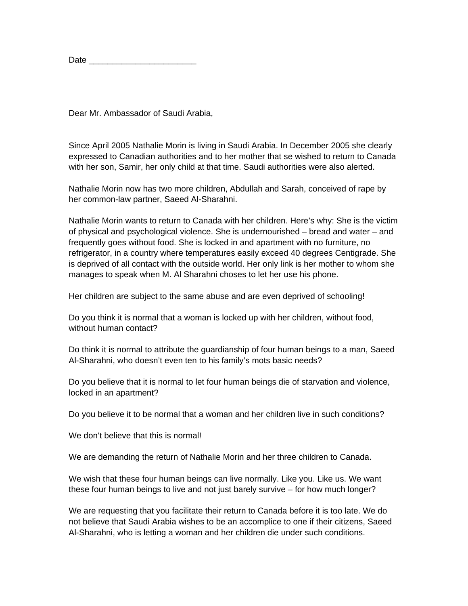| Date |
|------|
|------|

Dear Mr. Ambassador of Saudi Arabia,

Since April 2005 Nathalie Morin is living in Saudi Arabia. In December 2005 she clearly expressed to Canadian authorities and to her mother that se wished to return to Canada with her son, Samir, her only child at that time. Saudi authorities were also alerted.

Nathalie Morin now has two more children, Abdullah and Sarah, conceived of rape by her common-law partner, Saeed Al-Sharahni.

Nathalie Morin wants to return to Canada with her children. Here's why: She is the victim of physical and psychological violence. She is undernourished – bread and water – and frequently goes without food. She is locked in and apartment with no furniture, no refrigerator, in a country where temperatures easily exceed 40 degrees Centigrade. She is deprived of all contact with the outside world. Her only link is her mother to whom she manages to speak when M. Al Sharahni choses to let her use his phone.

Her children are subject to the same abuse and are even deprived of schooling!

Do you think it is normal that a woman is locked up with her children, without food, without human contact?

Do think it is normal to attribute the guardianship of four human beings to a man, Saeed Al-Sharahni, who doesn't even ten to his family's mots basic needs?

Do you believe that it is normal to let four human beings die of starvation and violence, locked in an apartment?

Do you believe it to be normal that a woman and her children live in such conditions?

We don't believe that this is normal!

We are demanding the return of Nathalie Morin and her three children to Canada.

We wish that these four human beings can live normally. Like you. Like us. We want these four human beings to live and not just barely survive – for how much longer?

We are requesting that you facilitate their return to Canada before it is too late. We do not believe that Saudi Arabia wishes to be an accomplice to one if their citizens, Saeed Al-Sharahni, who is letting a woman and her children die under such conditions.